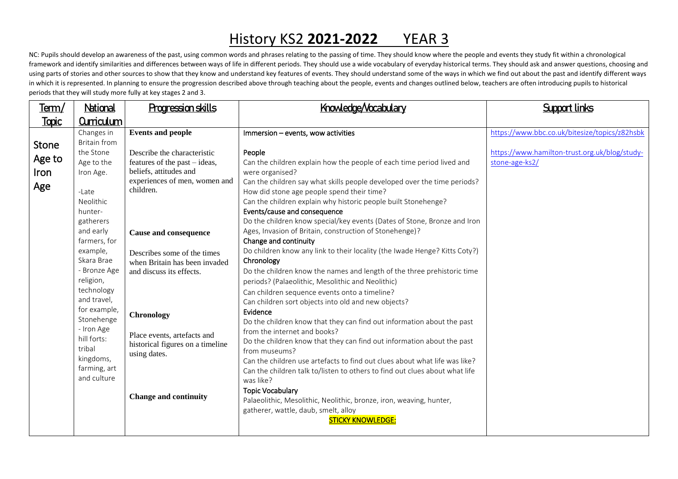NC: Pupils should develop an awareness of the past, using common words and phrases relating to the passing of time. They should know where the people and events they study fit within a chronological framework and identify similarities and differences between ways of life in different periods. They should use a wide vocabulary of everyday historical terms. They should ask and answer questions, choosing and using parts of stories and other sources to show that they know and understand key features of events. They should understand some of the ways in which we find out about the past and identify different ways in which it is represented. In planning to ensure the progression described above through teaching about the people, events and changes outlined below, teachers are often introducing pupils to historical periods that they will study more fully at key stages 2 and 3.

| <u>Term/</u>                          | National                                                                                                                                                                                                                                                                                                                                    | <b>Progression skills</b>                                                                                                                                                                                                                                                                                                                                                                         | Knowledge/Vocabulary                                                                                                                                                                                                                                                                                                                                                                                                                                                                                                                                                                                                                                                                                                                                                                                                                                                                                                                                                                                                                                                                                                                                                                                                                                                                                                                                                    | <b>Support links</b>                                            |
|---------------------------------------|---------------------------------------------------------------------------------------------------------------------------------------------------------------------------------------------------------------------------------------------------------------------------------------------------------------------------------------------|---------------------------------------------------------------------------------------------------------------------------------------------------------------------------------------------------------------------------------------------------------------------------------------------------------------------------------------------------------------------------------------------------|-------------------------------------------------------------------------------------------------------------------------------------------------------------------------------------------------------------------------------------------------------------------------------------------------------------------------------------------------------------------------------------------------------------------------------------------------------------------------------------------------------------------------------------------------------------------------------------------------------------------------------------------------------------------------------------------------------------------------------------------------------------------------------------------------------------------------------------------------------------------------------------------------------------------------------------------------------------------------------------------------------------------------------------------------------------------------------------------------------------------------------------------------------------------------------------------------------------------------------------------------------------------------------------------------------------------------------------------------------------------------|-----------------------------------------------------------------|
| <u>Topic</u>                          | <b>Curriculum</b>                                                                                                                                                                                                                                                                                                                           |                                                                                                                                                                                                                                                                                                                                                                                                   |                                                                                                                                                                                                                                                                                                                                                                                                                                                                                                                                                                                                                                                                                                                                                                                                                                                                                                                                                                                                                                                                                                                                                                                                                                                                                                                                                                         |                                                                 |
|                                       | Changes in                                                                                                                                                                                                                                                                                                                                  | <b>Events and people</b>                                                                                                                                                                                                                                                                                                                                                                          | Immersion - events, wow activities                                                                                                                                                                                                                                                                                                                                                                                                                                                                                                                                                                                                                                                                                                                                                                                                                                                                                                                                                                                                                                                                                                                                                                                                                                                                                                                                      | https://www.bbc.co.uk/bitesize/topics/z82hsbk                   |
| <b>Stone</b><br>Age to<br>Iron<br>Age | <b>Britain from</b><br>the Stone<br>Age to the<br>Iron Age.<br>-Late<br>Neolithic<br>hunter-<br>gatherers<br>and early<br>farmers, for<br>example,<br>Skara Brae<br>- Bronze Age<br>religion,<br>technology<br>and travel,<br>for example,<br>Stonehenge<br>- Iron Age<br>hill forts:<br>tribal<br>kingdoms,<br>farming, art<br>and culture | Describe the characteristic<br>features of the past – ideas,<br>beliefs, attitudes and<br>experiences of men, women and<br>children.<br><b>Cause and consequence</b><br>Describes some of the times<br>when Britain has been invaded<br>and discuss its effects.<br>Chronology<br>Place events, artefacts and<br>historical figures on a timeline<br>using dates.<br><b>Change and continuity</b> | People<br>Can the children explain how the people of each time period lived and<br>were organised?<br>Can the children say what skills people developed over the time periods?<br>How did stone age people spend their time?<br>Can the children explain why historic people built Stonehenge?<br>Events/cause and consequence<br>Do the children know special/key events (Dates of Stone, Bronze and Iron<br>Ages, Invasion of Britain, construction of Stonehenge)?<br>Change and continuity<br>Do children know any link to their locality (the Iwade Henge? Kitts Coty?)<br>Chronology<br>Do the children know the names and length of the three prehistoric time<br>periods? (Palaeolithic, Mesolithic and Neolithic)<br>Can children sequence events onto a timeline?<br>Can children sort objects into old and new objects?<br>Evidence<br>Do the children know that they can find out information about the past<br>from the internet and books?<br>Do the children know that they can find out information about the past<br>from museums?<br>Can the children use artefacts to find out clues about what life was like?<br>Can the children talk to/listen to others to find out clues about what life<br>was like?<br><b>Topic Vocabulary</b><br>Palaeolithic, Mesolithic, Neolithic, bronze, iron, weaving, hunter,<br>gatherer, wattle, daub, smelt, alloy | https://www.hamilton-trust.org.uk/blog/study-<br>stone-age-ks2/ |
|                                       |                                                                                                                                                                                                                                                                                                                                             |                                                                                                                                                                                                                                                                                                                                                                                                   | <b>STICKY KNOWLEDGE:</b>                                                                                                                                                                                                                                                                                                                                                                                                                                                                                                                                                                                                                                                                                                                                                                                                                                                                                                                                                                                                                                                                                                                                                                                                                                                                                                                                                |                                                                 |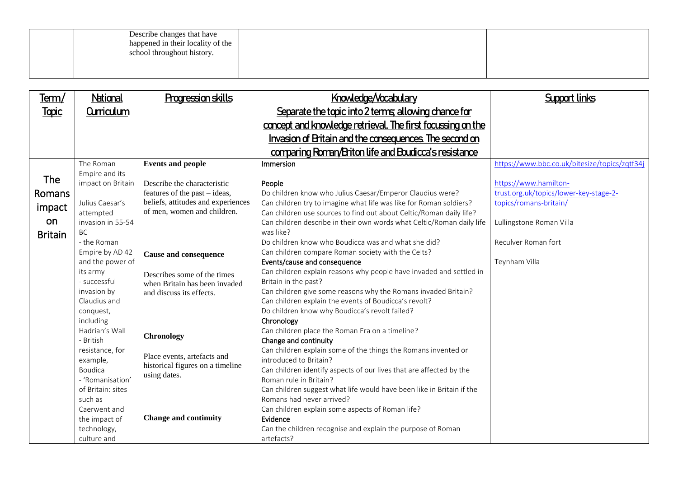| Describe changes that have<br>happened in their locality of the<br>school throughout history. |  |
|-----------------------------------------------------------------------------------------------|--|
|                                                                                               |  |

| <u>Term/</u>   | National                    | Progression skills                 | Knowledge/Vocabulary                                                                                                    | <b>Support links</b>                          |
|----------------|-----------------------------|------------------------------------|-------------------------------------------------------------------------------------------------------------------------|-----------------------------------------------|
| <b>Topic</b>   | <b>Curriculum</b>           |                                    | Separate the topic into 2 terms allowing chance for                                                                     |                                               |
|                |                             |                                    | concept and knowledge retrieval. The first focussing on the                                                             |                                               |
|                |                             |                                    | Invasion of Britain and the consequences. The second on                                                                 |                                               |
|                |                             |                                    | comparing Roman/Briton life and Boudicca's resistance                                                                   |                                               |
|                | The Roman                   | <b>Events and people</b>           | Immersion                                                                                                               | https://www.bbc.co.uk/bitesize/topics/zqtf34j |
|                | Empire and its              |                                    |                                                                                                                         |                                               |
| The            | impact on Britain           | Describe the characteristic        | People                                                                                                                  | https://www.hamilton-                         |
| Romans         |                             | features of the past - ideas,      | Do children know who Julius Caesar/Emperor Claudius were?                                                               | trust.org.uk/topics/lower-key-stage-2-        |
|                | Julius Caesar's             | beliefs, attitudes and experiences | Can children try to imagine what life was like for Roman soldiers?                                                      | topics/romans-britain/                        |
| impact         | attempted                   | of men, women and children.        | Can children use sources to find out about Celtic/Roman daily life?                                                     |                                               |
| on             | invasion in 55-54           |                                    | Can children describe in their own words what Celtic/Roman daily life                                                   | Lullingstone Roman Villa                      |
| <b>Britain</b> | <b>BC</b>                   |                                    | was like?                                                                                                               |                                               |
|                | - the Roman                 |                                    | Do children know who Boudicca was and what she did?                                                                     | Reculver Roman fort                           |
|                | Empire by AD 42             | <b>Cause and consequence</b>       | Can children compare Roman society with the Celts?                                                                      |                                               |
|                | and the power of            |                                    | Events/cause and consequence                                                                                            | Teynham Villa                                 |
|                | its army                    | Describes some of the times        | Can children explain reasons why people have invaded and settled in                                                     |                                               |
|                | - successful                | when Britain has been invaded      | Britain in the past?                                                                                                    |                                               |
|                | invasion by<br>Claudius and | and discuss its effects.           | Can children give some reasons why the Romans invaded Britain?<br>Can children explain the events of Boudicca's revolt? |                                               |
|                | conquest,                   |                                    | Do children know why Boudicca's revolt failed?                                                                          |                                               |
|                | including                   |                                    | Chronology                                                                                                              |                                               |
|                | Hadrian's Wall              |                                    | Can children place the Roman Era on a timeline?                                                                         |                                               |
|                | - British                   | Chronology                         | Change and continuity                                                                                                   |                                               |
|                | resistance, for             |                                    | Can children explain some of the things the Romans invented or                                                          |                                               |
|                | example,                    | Place events, artefacts and        | introduced to Britain?                                                                                                  |                                               |
|                | Boudica                     | historical figures on a timeline   | Can children identify aspects of our lives that are affected by the                                                     |                                               |
|                | - 'Romanisation'            | using dates.                       | Roman rule in Britain?                                                                                                  |                                               |
|                | of Britain: sites           |                                    | Can children suggest what life would have been like in Britain if the                                                   |                                               |
|                | such as                     |                                    | Romans had never arrived?                                                                                               |                                               |
|                | Caerwent and                |                                    | Can children explain some aspects of Roman life?                                                                        |                                               |
|                | the impact of               | <b>Change and continuity</b>       | Evidence                                                                                                                |                                               |
|                | technology,                 |                                    | Can the children recognise and explain the purpose of Roman                                                             |                                               |
|                | culture and                 |                                    | artefacts?                                                                                                              |                                               |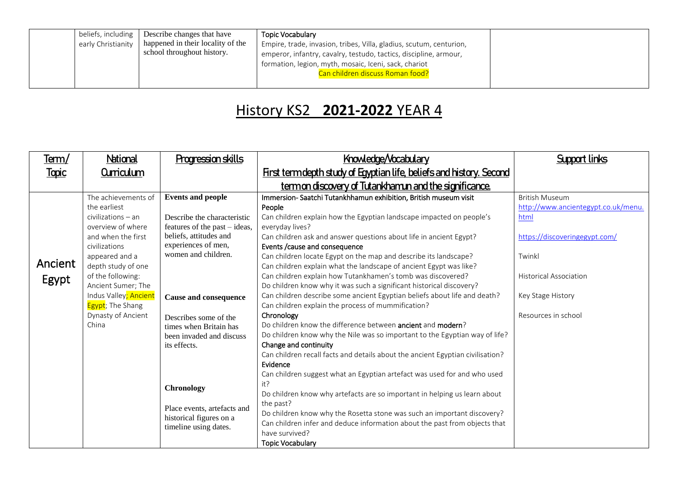|                    | $\mathsf{I}$ beliefs, including $\mathsf{I}$ Describe changes that have | <b>Topic Vocabulary</b>                                             |  |
|--------------------|-------------------------------------------------------------------------|---------------------------------------------------------------------|--|
| early Christianity | happened in their locality of the                                       | Empire, trade, invasion, tribes, Villa, gladius, scutum, centurion, |  |
|                    | school throughout history.                                              | emperor, infantry, cavalry, testudo, tactics, discipline, armour,   |  |
|                    |                                                                         | formation, legion, myth, mosaic, Iceni, sack, chariot               |  |
|                    |                                                                         | Can children discuss Roman food?                                    |  |
|                    |                                                                         |                                                                     |  |

| <u>Term/</u>     | National                                                                                                                                                                                                                                                                               | <b>Progression skills</b>                                                                                                                                                                                                                                                                                                                                                                        | Knowledge/Vocabulary                                                                                                                                                                                                                                                                                                                                                                                                                                                                                                                                                                                                                                                                                                                                                                                                                                                                                                                                                                                                                                                                                                                                                                                                                                                                                                      | Support links                                                                                                                                                                                |
|------------------|----------------------------------------------------------------------------------------------------------------------------------------------------------------------------------------------------------------------------------------------------------------------------------------|--------------------------------------------------------------------------------------------------------------------------------------------------------------------------------------------------------------------------------------------------------------------------------------------------------------------------------------------------------------------------------------------------|---------------------------------------------------------------------------------------------------------------------------------------------------------------------------------------------------------------------------------------------------------------------------------------------------------------------------------------------------------------------------------------------------------------------------------------------------------------------------------------------------------------------------------------------------------------------------------------------------------------------------------------------------------------------------------------------------------------------------------------------------------------------------------------------------------------------------------------------------------------------------------------------------------------------------------------------------------------------------------------------------------------------------------------------------------------------------------------------------------------------------------------------------------------------------------------------------------------------------------------------------------------------------------------------------------------------------|----------------------------------------------------------------------------------------------------------------------------------------------------------------------------------------------|
| <b>Topic</b>     | <b>Curriculum</b>                                                                                                                                                                                                                                                                      |                                                                                                                                                                                                                                                                                                                                                                                                  | First term depth study of Egyptian life, beliefs and history. Second                                                                                                                                                                                                                                                                                                                                                                                                                                                                                                                                                                                                                                                                                                                                                                                                                                                                                                                                                                                                                                                                                                                                                                                                                                                      |                                                                                                                                                                                              |
|                  |                                                                                                                                                                                                                                                                                        |                                                                                                                                                                                                                                                                                                                                                                                                  | <u>termon discovery of Tutankhamun and the significance.</u>                                                                                                                                                                                                                                                                                                                                                                                                                                                                                                                                                                                                                                                                                                                                                                                                                                                                                                                                                                                                                                                                                                                                                                                                                                                              |                                                                                                                                                                                              |
| Ancient<br>Egypt | The achievements of<br>the earliest<br>$civilizations - an$<br>overview of where<br>and when the first<br>civilizations<br>appeared and a<br>depth study of one<br>of the following:<br>Ancient Sumer; The<br>Indus Valley; Ancient<br>Egypt; The Shang<br>Dynasty of Ancient<br>China | <b>Events and people</b><br>Describe the characteristic<br>features of the past – ideas,<br>beliefs, attitudes and<br>experiences of men,<br>women and children.<br>Cause and consequence<br>Describes some of the<br>times when Britain has<br>been invaded and discuss<br>its effects.<br><b>Chronology</b><br>Place events, artefacts and<br>historical figures on a<br>timeline using dates. | Immersion-Saatchi Tutankhhamun exhibition, British museum visit<br>People<br>Can children explain how the Egyptian landscape impacted on people's<br>everyday lives?<br>Can children ask and answer questions about life in ancient Egypt?<br>Events / cause and consequence<br>Can children locate Egypt on the map and describe its landscape?<br>Can children explain what the landscape of ancient Egypt was like?<br>Can children explain how Tutankhamen's tomb was discovered?<br>Do children know why it was such a significant historical discovery?<br>Can children describe some ancient Egyptian beliefs about life and death?<br>Can children explain the process of mummification?<br>Chronology<br>Do children know the difference between ancient and modern?<br>Do children know why the Nile was so important to the Egyptian way of life?<br>Change and continuity<br>Can children recall facts and details about the ancient Egyptian civilisation?<br>Evidence<br>Can children suggest what an Egyptian artefact was used for and who used<br>it?<br>Do children know why artefacts are so important in helping us learn about<br>the past?<br>Do children know why the Rosetta stone was such an important discovery?<br>Can children infer and deduce information about the past from objects that | <b>British Museum</b><br>http://www.ancientegypt.co.uk/menu.<br>html<br>https://discoveringegypt.com/<br>Twinkl<br><b>Historical Association</b><br>Key Stage History<br>Resources in school |
|                  |                                                                                                                                                                                                                                                                                        |                                                                                                                                                                                                                                                                                                                                                                                                  | have survived?<br><b>Topic Vocabulary</b>                                                                                                                                                                                                                                                                                                                                                                                                                                                                                                                                                                                                                                                                                                                                                                                                                                                                                                                                                                                                                                                                                                                                                                                                                                                                                 |                                                                                                                                                                                              |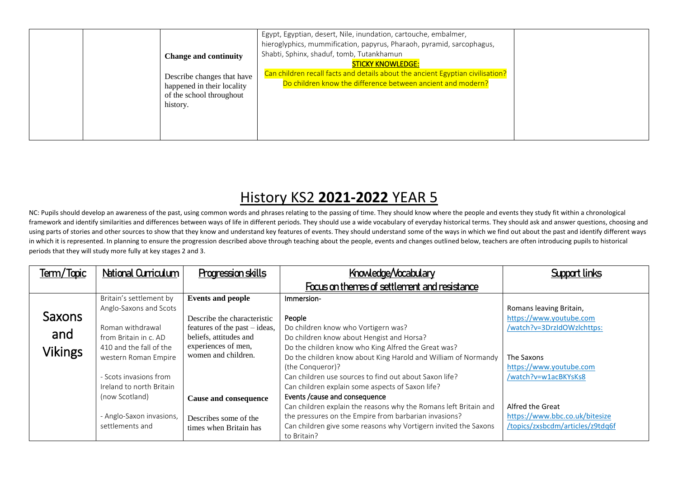| history. | <b>Change and continuity</b><br>Describe changes that have<br>happened in their locality<br>of the school throughout | Egypt, Egyptian, desert, Nile, inundation, cartouche, embalmer,<br>hieroglyphics, mummification, papyrus, Pharaoh, pyramid, sarcophagus,<br>Shabti, Sphinx, shaduf, tomb, Tutankhamun<br><b>STICKY KNOWLEDGE:</b><br>Can children recall facts and details about the ancient Egyptian civilisation?<br>Do children know the difference between ancient and modern? |  |
|----------|----------------------------------------------------------------------------------------------------------------------|--------------------------------------------------------------------------------------------------------------------------------------------------------------------------------------------------------------------------------------------------------------------------------------------------------------------------------------------------------------------|--|
|----------|----------------------------------------------------------------------------------------------------------------------|--------------------------------------------------------------------------------------------------------------------------------------------------------------------------------------------------------------------------------------------------------------------------------------------------------------------------------------------------------------------|--|

NC: Pupils should develop an awareness of the past, using common words and phrases relating to the passing of time. They should know where the people and events they study fit within a chronological framework and identify similarities and differences between ways of life in different periods. They should use a wide vocabulary of everyday historical terms. They should ask and answer questions, choosing and using parts of stories and other sources to show that they know and understand key features of events. They should understand some of the ways in which we find out about the past and identify different ways in which it is represented. In planning to ensure the progression described above through teaching about the people, events and changes outlined below, teachers are often introducing pupils to historical periods that they will study more fully at key stages 2 and 3.

| Term/Topic     | <b>National Curriculum</b>                         | <b>Progression skills</b>                               | Knowledge/Vocabulary                                                                                                                                                                                        | <b>Support links</b>                                                                   |
|----------------|----------------------------------------------------|---------------------------------------------------------|-------------------------------------------------------------------------------------------------------------------------------------------------------------------------------------------------------------|----------------------------------------------------------------------------------------|
|                |                                                    |                                                         | Focus on themes of settlement and resistance                                                                                                                                                                |                                                                                        |
|                | Britain's settlement by<br>Anglo-Saxons and Scots  | <b>Events and people</b>                                | Immersion-                                                                                                                                                                                                  | Romans leaving Britain,                                                                |
| Saxons         |                                                    | Describe the characteristic                             | People                                                                                                                                                                                                      | https://www.youtube.com                                                                |
| and            | Roman withdrawal<br>from Britain in c. AD          | features of the past – ideas,<br>beliefs, attitudes and | Do children know who Vortigern was?<br>Do children know about Hengist and Horsa?                                                                                                                            | /watch?v=3DrzIdOWzlchttps:                                                             |
| <b>Vikings</b> | 410 and the fall of the<br>western Roman Empire    | experiences of men,<br>women and children.              | Do the children know who King Alfred the Great was?<br>Do the children know about King Harold and William of Normandy                                                                                       | The Saxons                                                                             |
|                |                                                    |                                                         | (the Conqueror)?                                                                                                                                                                                            | https://www.youtube.com                                                                |
|                | - Scots invasions from<br>Ireland to north Britain |                                                         | Can children use sources to find out about Saxon life?<br>Can children explain some aspects of Saxon life?                                                                                                  | /watch?v=w1acBKYsKs8                                                                   |
|                | (now Scotland)                                     | <b>Cause and consequence</b>                            | Events / cause and consequence                                                                                                                                                                              |                                                                                        |
|                | - Anglo-Saxon invasions,<br>settlements and        | Describes some of the<br>times when Britain has         | Can children explain the reasons why the Romans left Britain and<br>the pressures on the Empire from barbarian invasions?<br>Can children give some reasons why Vortigern invited the Saxons<br>to Britain? | Alfred the Great<br>https://www.bbc.co.uk/bitesize<br>/topics/zxsbcdm/articles/z9tdq6f |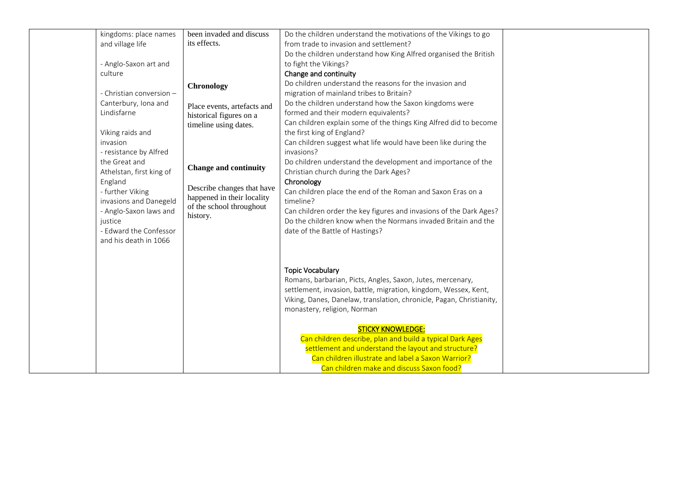| kingdoms: place names<br>and village life<br>- Anglo-Saxon art and<br>culture<br>- Christian conversion -<br>Canterbury, Iona and<br>Lindisfarne<br>Viking raids and<br>invasion<br>- resistance by Alfred<br>the Great and<br>Athelstan, first king of<br>England<br>- further Viking<br>invasions and Danegeld<br>- Anglo-Saxon laws and<br>justice<br>- Edward the Confessor<br>and his death in 1066 | been invaded and discuss<br>its effects.<br><b>Chronology</b><br>Place events, artefacts and<br>historical figures on a<br>timeline using dates.<br><b>Change and continuity</b><br>Describe changes that have<br>happened in their locality<br>of the school throughout<br>history. | Do the children understand the motivations of the Vikings to go<br>from trade to invasion and settlement?<br>Do the children understand how King Alfred organised the British<br>to fight the Vikings?<br>Change and continuity<br>Do children understand the reasons for the invasion and<br>migration of mainland tribes to Britain?<br>Do the children understand how the Saxon kingdoms were<br>formed and their modern equivalents?<br>Can children explain some of the things King Alfred did to become<br>the first king of England?<br>Can children suggest what life would have been like during the<br>invasions?<br>Do children understand the development and importance of the<br>Christian church during the Dark Ages?<br>Chronology<br>Can children place the end of the Roman and Saxon Eras on a<br>timeline?<br>Can children order the key figures and invasions of the Dark Ages?<br>Do the children know when the Normans invaded Britain and the<br>date of the Battle of Hastings? |  |
|----------------------------------------------------------------------------------------------------------------------------------------------------------------------------------------------------------------------------------------------------------------------------------------------------------------------------------------------------------------------------------------------------------|--------------------------------------------------------------------------------------------------------------------------------------------------------------------------------------------------------------------------------------------------------------------------------------|-----------------------------------------------------------------------------------------------------------------------------------------------------------------------------------------------------------------------------------------------------------------------------------------------------------------------------------------------------------------------------------------------------------------------------------------------------------------------------------------------------------------------------------------------------------------------------------------------------------------------------------------------------------------------------------------------------------------------------------------------------------------------------------------------------------------------------------------------------------------------------------------------------------------------------------------------------------------------------------------------------------|--|
|                                                                                                                                                                                                                                                                                                                                                                                                          |                                                                                                                                                                                                                                                                                      | <b>Topic Vocabulary</b><br>Romans, barbarian, Picts, Angles, Saxon, Jutes, mercenary,<br>settlement, invasion, battle, migration, kingdom, Wessex, Kent,<br>Viking, Danes, Danelaw, translation, chronicle, Pagan, Christianity,<br>monastery, religion, Norman<br><b>STICKY KNOWLEDGE:</b><br>Can children describe, plan and build a typical Dark Ages<br>settlement and understand the layout and structure?<br>Can children illustrate and label a Saxon Warrior?<br>Can children make and discuss Saxon food?                                                                                                                                                                                                                                                                                                                                                                                                                                                                                        |  |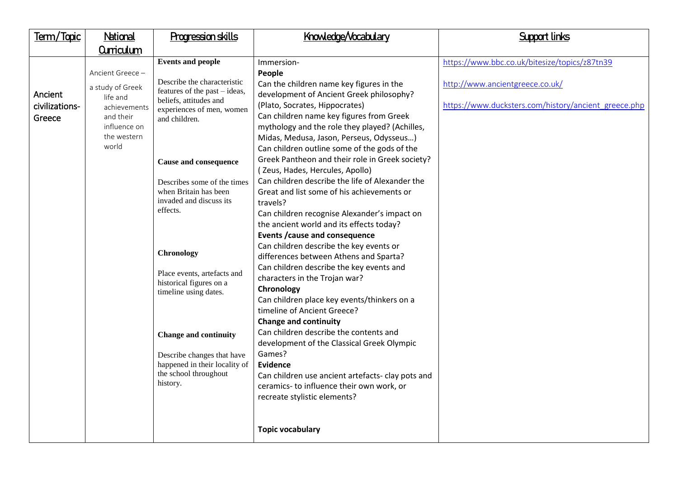| Term/Topic                          | National                                                                                                              | Progression skills                                                                                                                                                                                                                                                                                                                                                                                                                                                                                                                   | Knowledge/Vocabulary                                                                                                                                                                                                                                                                                                                                                                                                                                                                                                                                                                                                                                                                                                                                                                                                                                                                                                                                                                                                                                                                                                                                                                                                                               | <b>Support links</b>                                                                                                                     |
|-------------------------------------|-----------------------------------------------------------------------------------------------------------------------|--------------------------------------------------------------------------------------------------------------------------------------------------------------------------------------------------------------------------------------------------------------------------------------------------------------------------------------------------------------------------------------------------------------------------------------------------------------------------------------------------------------------------------------|----------------------------------------------------------------------------------------------------------------------------------------------------------------------------------------------------------------------------------------------------------------------------------------------------------------------------------------------------------------------------------------------------------------------------------------------------------------------------------------------------------------------------------------------------------------------------------------------------------------------------------------------------------------------------------------------------------------------------------------------------------------------------------------------------------------------------------------------------------------------------------------------------------------------------------------------------------------------------------------------------------------------------------------------------------------------------------------------------------------------------------------------------------------------------------------------------------------------------------------------------|------------------------------------------------------------------------------------------------------------------------------------------|
|                                     | <b>Curriculum</b>                                                                                                     |                                                                                                                                                                                                                                                                                                                                                                                                                                                                                                                                      |                                                                                                                                                                                                                                                                                                                                                                                                                                                                                                                                                                                                                                                                                                                                                                                                                                                                                                                                                                                                                                                                                                                                                                                                                                                    |                                                                                                                                          |
| Ancient<br>civilizations-<br>Greece | Ancient Greece -<br>a study of Greek<br>life and<br>achievements<br>and their<br>influence on<br>the western<br>world | <b>Events and people</b><br>Describe the characteristic<br>features of the past – ideas,<br>beliefs, attitudes and<br>experiences of men, women<br>and children.<br><b>Cause and consequence</b><br>Describes some of the times<br>when Britain has been<br>invaded and discuss its<br>effects.<br>Chronology<br>Place events, artefacts and<br>historical figures on a<br>timeline using dates.<br><b>Change and continuity</b><br>Describe changes that have<br>happened in their locality of<br>the school throughout<br>history. | Immersion-<br>People<br>Can the children name key figures in the<br>development of Ancient Greek philosophy?<br>(Plato, Socrates, Hippocrates)<br>Can children name key figures from Greek<br>mythology and the role they played? (Achilles,<br>Midas, Medusa, Jason, Perseus, Odysseus)<br>Can children outline some of the gods of the<br>Greek Pantheon and their role in Greek society?<br>(Zeus, Hades, Hercules, Apollo)<br>Can children describe the life of Alexander the<br>Great and list some of his achievements or<br>travels?<br>Can children recognise Alexander's impact on<br>the ancient world and its effects today?<br>Events / cause and consequence<br>Can children describe the key events or<br>differences between Athens and Sparta?<br>Can children describe the key events and<br>characters in the Trojan war?<br>Chronology<br>Can children place key events/thinkers on a<br>timeline of Ancient Greece?<br><b>Change and continuity</b><br>Can children describe the contents and<br>development of the Classical Greek Olympic<br>Games?<br>Evidence<br>Can children use ancient artefacts- clay pots and<br>ceramics- to influence their own work, or<br>recreate stylistic elements?<br><b>Topic vocabulary</b> | https://www.bbc.co.uk/bitesize/topics/z87tn39<br>http://www.ancientgreece.co.uk/<br>https://www.ducksters.com/history/ancient_greece.php |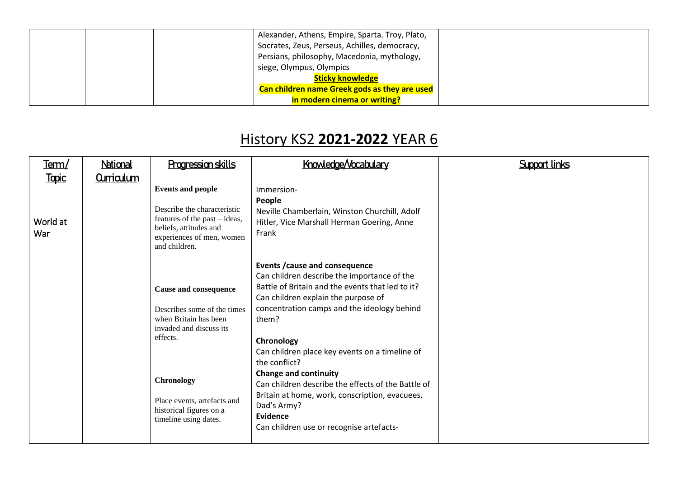|  | Alexander, Athens, Empire, Sparta. Troy, Plato, |  |
|--|-------------------------------------------------|--|
|  | Socrates, Zeus, Perseus, Achilles, democracy,   |  |
|  | Persians, philosophy, Macedonia, mythology,     |  |
|  | siege, Olympus, Olympics                        |  |
|  | <b>Sticky knowledge</b>                         |  |
|  | Can children name Greek gods as they are used   |  |
|  | in modern cinema or writing?                    |  |

| Term/           | National          | <b>Progression skills</b>                                                                                                                                                                                                           | Knowledge/Vocabulary                                                                                                                                                                                                                                                                                                                                                                                                                                                                                                                           | <b>Support links</b> |
|-----------------|-------------------|-------------------------------------------------------------------------------------------------------------------------------------------------------------------------------------------------------------------------------------|------------------------------------------------------------------------------------------------------------------------------------------------------------------------------------------------------------------------------------------------------------------------------------------------------------------------------------------------------------------------------------------------------------------------------------------------------------------------------------------------------------------------------------------------|----------------------|
| <b>Topic</b>    | <b>Curriculum</b> |                                                                                                                                                                                                                                     |                                                                                                                                                                                                                                                                                                                                                                                                                                                                                                                                                |                      |
| World at<br>War |                   | <b>Events and people</b><br>Describe the characteristic<br>features of the past – ideas,<br>beliefs, attitudes and<br>experiences of men, women<br>and children.                                                                    | Immersion-<br>People<br>Neville Chamberlain, Winston Churchill, Adolf<br>Hitler, Vice Marshall Herman Goering, Anne<br>Frank                                                                                                                                                                                                                                                                                                                                                                                                                   |                      |
|                 |                   | <b>Cause and consequence</b><br>Describes some of the times<br>when Britain has been<br>invaded and discuss its<br>effects.<br><b>Chronology</b><br>Place events, artefacts and<br>historical figures on a<br>timeline using dates. | <b>Events / cause and consequence</b><br>Can children describe the importance of the<br>Battle of Britain and the events that led to it?<br>Can children explain the purpose of<br>concentration camps and the ideology behind<br>them?<br>Chronology<br>Can children place key events on a timeline of<br>the conflict?<br><b>Change and continuity</b><br>Can children describe the effects of the Battle of<br>Britain at home, work, conscription, evacuees,<br>Dad's Army?<br><b>Evidence</b><br>Can children use or recognise artefacts- |                      |